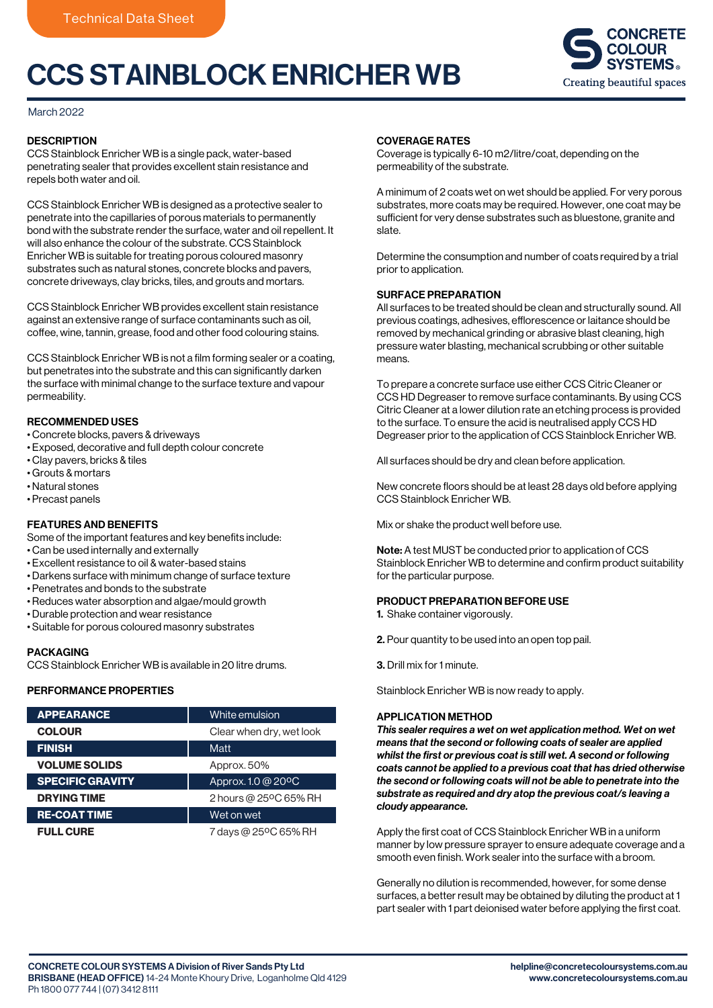# CCS STAINBLOCK ENRICHER WB



# March 2022

# **DESCRIPTION**

CCS Stainblock Enricher WB is a single pack, water-based penetrating sealer that provides excellent stain resistance and repels both water and oil.

CCS Stainblock Enricher WB is designed as a protective sealer to penetrate into the capillaries of porous materials to permanently bond with the substrate render the surface, water and oil repellent. It will also enhance the colour of the substrate. CCS Stainblock Enricher WB is suitable for treating porous coloured masonry substrates such as natural stones, concrete blocks and pavers, concrete driveways, clay bricks, tiles, and grouts and mortars.

CCS Stainblock Enricher WB provides excellent stain resistance against an extensive range of surface contaminants such as oil, coffee, wine, tannin, grease, food and other food colouring stains.

CCS Stainblock Enricher WB is not a film forming sealer or a coating, but penetrates into the substrate and this can significantly darken the surface with minimal change to the surface texture and vapour permeability.

# RECOMMENDED USES

- Concrete blocks, pavers & driveways
- Exposed, decorative and full depth colour concrete
- Clay pavers, bricks & tiles
- Grouts & mortars
- Natural stones
- Precast panels

# FEATURES AND BENEFITS

Some of the important features and key benefits include:

- Can be used internally and externally
- Excellent resistance to oil & water-based stains
- Darkens surface with minimum change of surface texture
- Penetrates and bonds to the substrate
- Reduces water absorption and algae/mould growth
- Durable protection and wear resistance
- Suitable for porous coloured masonry substrates

# PACKAGING

CCS Stainblock Enricher WB is available in 20 litre drums.

# PERFORMANCE PROPERTIES

| <b>APPEARANCE</b>       | White emulsion           |
|-------------------------|--------------------------|
| <b>COLOUR</b>           | Clear when dry, wet look |
| <b>FINISH</b>           | Matt                     |
| <b>VOLUME SOLIDS</b>    | Approx. 50%              |
| <b>SPECIFIC GRAVITY</b> | Approx. 1.0 @ 20°C       |
| <b>DRYING TIME</b>      | 2 hours @ 25°C 65% RH    |
| <b>RE-COAT TIME</b>     | Wet on wet               |
| <b>FULL CURE</b>        | 7 days @ 25°C 65% RH     |

# COVERAGE RATES

Coverage is typically 6-10 m2/litre/coat, depending on the permeability of the substrate.

A minimum of 2 coats wet on wet should be applied. For very porous substrates, more coats may be required. However, one coat may be sufficient for very dense substrates such as bluestone, granite and slate.

Determine the consumption and number of coats required by a trial prior to application.

# SURFACE PREPARATION

All surfaces to be treated should be clean and structurally sound. All previous coatings, adhesives, efflorescence or laitance should be removed by mechanical grinding or abrasive blast cleaning, high pressure water blasting, mechanical scrubbing or other suitable means.

To prepare a concrete surface use either CCS Citric Cleaner or CCS HD Degreaser to remove surface contaminants. By using CCS Citric Cleaner at a lower dilution rate an etching process is provided to the surface. To ensure the acid is neutralised apply CCS HD Degreaser prior to the application of CCS Stainblock Enricher WB.

All surfaces should be dry and clean before application.

New concrete floors should be at least 28 days old before applying CCS Stainblock Enricher WB.

Mix or shake the product well before use.

Note: A test MUST be conducted prior to application of CCS Stainblock Enricher WB to determine and confirm product suitability for the particular purpose.

#### PRODUCT PREPARATION BEFORE USE

- 1. Shake container vigorously.
- 2. Pour quantity to be used into an open top pail.
- 3. Drill mix for 1 minute.

Stainblock Enricher WB is now ready to apply.

#### APPLICATION METHOD

*This sealer requires a wet on wet application method. Wet on wet means that the second or following coats of sealer are applied whilst the first or previous coat is still wet. A second or following coats cannot be applied to a previous coat that has dried otherwise the second or following coats will not be able to penetrate into the substrate as required and dry atop the previous coat/s leaving a cloudy appearance.*

Apply the first coat of CCS Stainblock Enricher WB in a uniform manner by low pressure sprayer to ensure adequate coverage and a smooth even finish. Work sealer into the surface with a broom.

Generally no dilution is recommended, however, for some dense surfaces, a better result may be obtained by diluting the product at 1 part sealer with 1 part deionised water before applying the first coat.